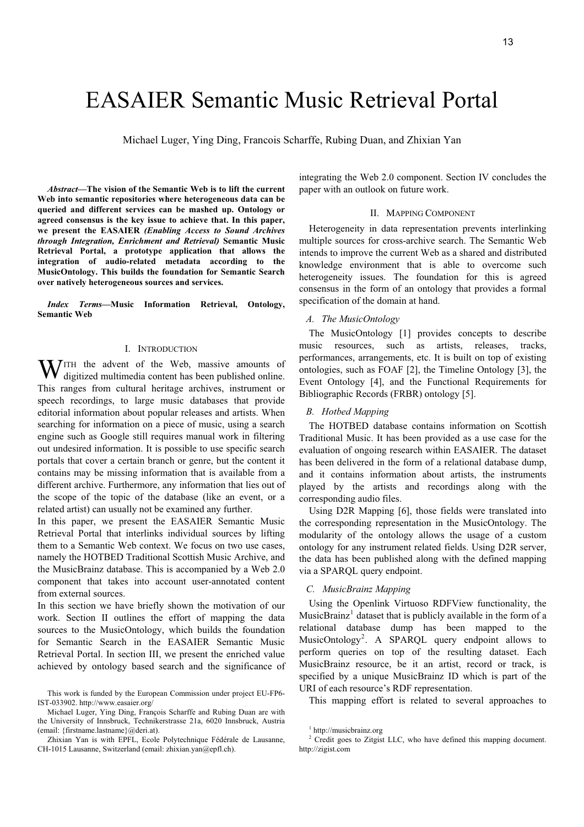# EASAIER Semantic Music Retrieval Portal

Michael Luger, Ying Ding, Francois Scharffe, Rubing Duan, and Zhixian Yan

*Abstract***—The vision of the Semantic Web is to lift the current Web into semantic repositories where heterogeneous data can be queried and different services can be mashed up. Ontology or agreed consensus is the key issue to achieve that. In this paper, we present the EASAIER** *(Enabling Access to Sound Archives through Integration, Enrichment and Retrieval)* **Semantic Music Retrieval Portal, a prototype application that allows the integration of audio-related metadata according to the MusicOntology. This builds the foundation for Semantic Search over natively heterogeneous sources and services.**

*Index Terms***—Music Information Retrieval, Ontology, Semantic Web** 

## I. INTRODUCTION

**W** ITH the advent of the Web, massive amounts of digitized multimedia content has been published online. digitized multimedia content has been published online. This ranges from cultural heritage archives, instrument or speech recordings, to large music databases that provide editorial information about popular releases and artists. When searching for information on a piece of music, using a search engine such as Google still requires manual work in filtering out undesired information. It is possible to use specific search portals that cover a certain branch or genre, but the content it contains may be missing information that is available from a different archive. Furthermore, any information that lies out of the scope of the topic of the database (like an event, or a related artist) can usually not be examined any further.

In this paper, we present the EASAIER Semantic Music Retrieval Portal that interlinks individual sources by lifting them to a Semantic Web context. We focus on two use cases, namely the HOTBED Traditional Scottish Music Archive, and the MusicBrainz database. This is accompanied by a Web 2.0 component that takes into account user-annotated content from external sources.

In this section we have briefly shown the motivation of our work. Section II outlines the effort of mapping the data sources to the MusicOntology, which builds the foundation for Semantic Search in the EASAIER Semantic Music Retrieval Portal. In section III, we present the enriched value achieved by ontology based search and the significance of integrating the Web 2.0 component. Section IV concludes the paper with an outlook on future work.

## II. MAPPING COMPONENT

Heterogeneity in data representation prevents interlinking multiple sources for cross-archive search. The Semantic Web intends to improve the current Web as a shared and distributed knowledge environment that is able to overcome such heterogeneity issues. The foundation for this is agreed consensus in the form of an ontology that provides a formal specification of the domain at hand.

## *A. The MusicOntology*

The MusicOntology [1] provides concepts to describe music resources, such as artists, releases, tracks, performances, arrangements, etc. It is built on top of existing ontologies, such as FOAF [2], the Timeline Ontology [3], the Event Ontology [4], and the Functional Requirements for Bibliographic Records (FRBR) ontology [5].

## *B. Hotbed Mapping*

The HOTBED database contains information on Scottish Traditional Music. It has been provided as a use case for the evaluation of ongoing research within EASAIER. The dataset has been delivered in the form of a relational database dump, and it contains information about artists, the instruments played by the artists and recordings along with the corresponding audio files.

Using D2R Mapping [6], those fields were translated into the corresponding representation in the MusicOntology. The modularity of the ontology allows the usage of a custom ontology for any instrument related fields. Using D2R server, the data has been published along with the defined mapping via a SPARQL query endpoint.

## *C. MusicBrainz Mapping*

Using the Openlink Virtuoso RDFView functionality, the MusicBrainz<sup>1</sup> dataset that is publicly available in the form of a relational database dump has been mapped to the MusicOntology<sup>2</sup>. A SPARQL query endpoint allows to perform queries on top of the resulting dataset. Each MusicBrainz resource, be it an artist, record or track, is specified by a unique MusicBrainz ID which is part of the URI of each resource's RDF representation.

This mapping effort is related to several approaches to

This work is funded by the European Commission under project EU-FP6- IST-033902. http://www.easaier.org/

Michael Luger, Ying Ding, François Scharffe and Rubing Duan are with the University of Innsbruck, Technikerstrasse 21a, 6020 Innsbruck, Austria (email: {firstname.lastname}@deri.at).

Zhixian Yan is with EPFL, Ecole Polytechnique Fédérale de Lausanne, CH-1015 Lausanne, Switzerland (email: zhixian.yan@epfl.ch).

<sup>1</sup> http://musicbrainz.org

<sup>&</sup>lt;sup>2</sup> Credit goes to Zitgist LLC, who have defined this mapping document. http://zigist.com